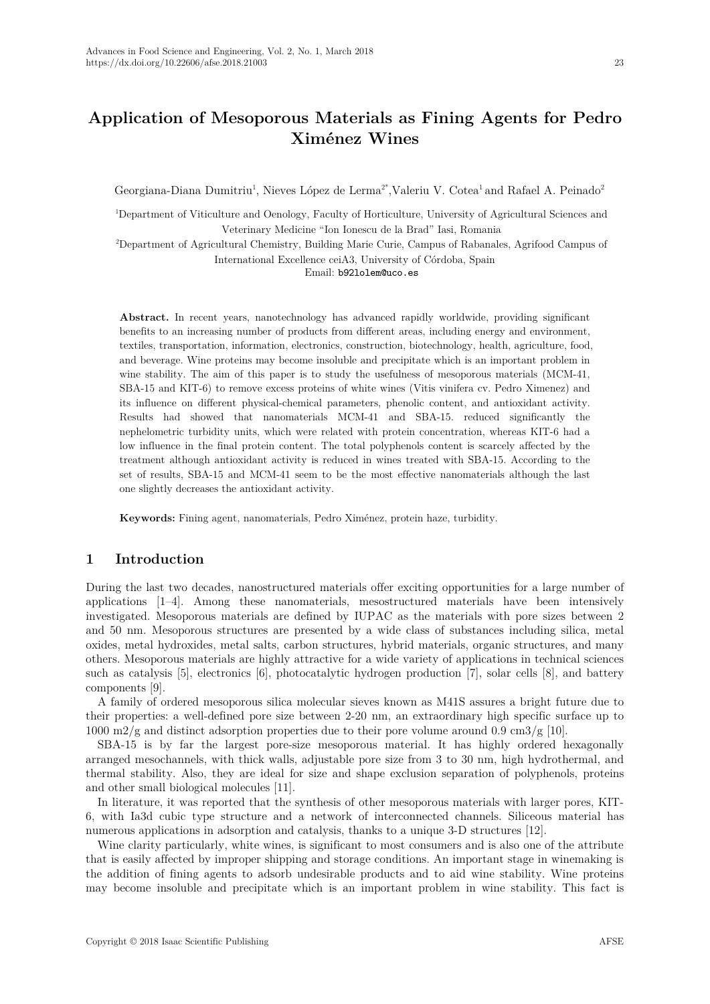Georgiana-Diana Dumitriu<sup>1</sup>, Nieves López de Lerma<sup>2\*</sup>,Valeriu V. Cotea<sup>1</sup> and Rafael A. Peinado<sup>2</sup>

<sup>1</sup>Department of Viticulture and Oenology, Faculty of Horticulture, University of Agricultural Sciences and Veterinary Medicine "Ion Ionescu de la Brad" Iasi, Romania

<sup>2</sup>Department of Agricultural Chemistry, Building Marie Curie, Campus of Rabanales, Agrifood Campus of International Excellence ceiA3, University of Córdoba, Spain

Email: b92lolem@uco.es

**Abstract.** In recent years, nanotechnology has advanced rapidly worldwide, providing significant benefits to an increasing number of products from different areas, including energy and environment, textiles, transportation, information, electronics, construction, biotechnology, health, agriculture, food, and beverage. Wine proteins may become insoluble and precipitate which is an important problem in wine stability. The aim of this paper is to study the usefulness of mesoporous materials (MCM-41, SBA-15 and KIT-6) to remove excess proteins of white wines (Vitis vinifera cv. Pedro Ximenez) and its influence on different physical-chemical parameters, phenolic content, and antioxidant activity. Results had showed that nanomaterials MCM-41 and SBA-15. reduced significantly the nephelometric turbidity units, which were related with protein concentration, whereas KIT-6 had a low influence in the final protein content. The total polyphenols content is scarcely affected by the treatment although antioxidant activity is reduced in wines treated with SBA-15. According to the set of results, SBA-15 and MCM-41 seem to be the most effective nanomaterials although the last one slightly decreases the antioxidant activity.

**Keywords:** Fining agent, nanomaterials, Pedro Ximénez, protein haze, turbidity.

# **1 Introduction**

During the last two decades, nanostructured materials offer exciting opportunities for a large number of applications [1–4]. Among these nanomaterials, mesostructured materials have been intensively investigated. Mesoporous materials are defined by IUPAC as the materials with pore sizes between 2 and 50 nm. Mesoporous structures are presented by a wide class of substances including silica, metal oxides, metal hydroxides, metal salts, carbon structures, hybrid materials, organic structures, and many others. Mesoporous materials are highly attractive for a wide variety of applications in technical sciences such as catalysis [5], electronics [6], photocatalytic hydrogen production [7], solar cells [8], and battery components [9].

A family of ordered mesoporous silica molecular sieves known as M41S assures a bright future due to their properties: a well-defined pore size between 2-20 nm, an extraordinary high specific surface up to 1000 m2/g and distinct adsorption properties due to their pore volume around 0.9 cm3/g [10].

SBA-15 is by far the largest pore-size mesoporous material. It has highly ordered hexagonally arranged mesochannels, with thick walls, adjustable pore size from 3 to 30 nm, high hydrothermal, and thermal stability. Also, they are ideal for size and shape exclusion separation of polyphenols, proteins and other small biological molecules [11].

In literature, it was reported that the synthesis of other mesoporous materials with larger pores, KIT-6, with Ia3d cubic type structure and a network of interconnected channels. Siliceous material has numerous applications in adsorption and catalysis, thanks to a unique 3-D structures [12].

Wine clarity particularly, white wines, is significant to most consumers and is also one of the attribute that is easily affected by improper shipping and storage conditions. An important stage in winemaking is the addition of fining agents to adsorb undesirable products and to aid wine stability. Wine proteins may become insoluble and precipitate which is an important problem in wine stability. This fact is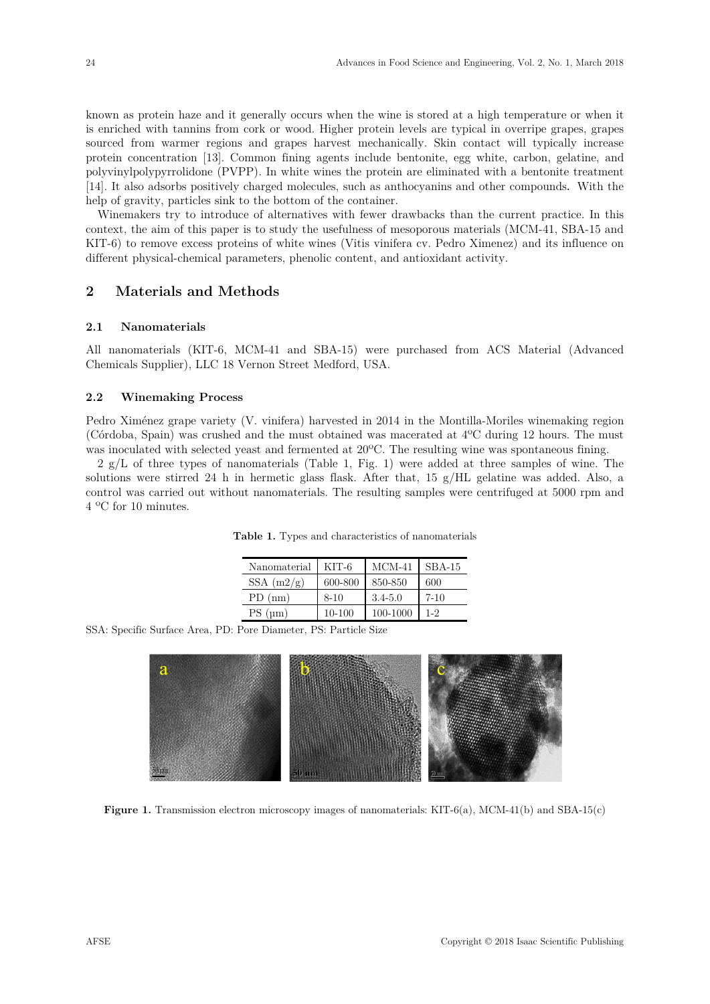known as protein haze and it generally occurs when the wine is stored at a high temperature or when it is enriched with tannins from cork or wood. Higher protein levels are typical in overripe grapes, grapes sourced from warmer regions and grapes harvest mechanically. Skin contact will typically increase protein concentration [13]. Common fining agents include bentonite, egg white, carbon, gelatine, and polyvinylpolypyrrolidone (PVPP). In white wines the protein are eliminated with a bentonite treatment [14]. It also adsorbs positively charged molecules, such as anthocyanins and other compounds. With the help of gravity, particles sink to the bottom of the container.

Winemakers try to introduce of alternatives with fewer drawbacks than the current practice. In this context, the aim of this paper is to study the usefulness of mesoporous materials (MCM-41, SBA-15 and KIT-6) to remove excess proteins of white wines (Vitis vinifera cv. Pedro Ximenez) and its influence on different physical-chemical parameters, phenolic content, and antioxidant activity.

# **2 Materials and Methods**

### **2.1 Nanomaterials**

All nanomaterials (KIT-6, MCM-41 and SBA-15) were purchased from ACS Material (Advanced Chemicals Supplier), LLC 18 Vernon Street Medford, USA.

### **2.2 Winemaking Process**

Pedro Ximénez grape variety (V. vinifera) harvested in 2014 in the Montilla-Moriles winemaking region (Córdoba, Spain) was crushed and the must obtained was macerated at 4ºC during 12 hours. The must was inoculated with selected yeast and fermented at 20ºC. The resulting wine was spontaneous fining.

2 g/L of three types of nanomaterials (Table 1, Fig. 1) were added at three samples of wine. The solutions were stirred 24 h in hermetic glass flask. After that, 15 g/HL gelatine was added. Also, a control was carried out without nanomaterials. The resulting samples were centrifuged at 5000 rpm and 4 ºC for 10 minutes.

| Nanomaterial  | KIT-6    | $MCM-41$    | $SBA-15$ |
|---------------|----------|-------------|----------|
| SSA $(m2/g)$  | 600-800  | 850-850     | 600      |
| (nm)<br>PD.   | $8 - 10$ | $3.4 - 5.0$ | $7-10$   |
| $PS$ ( $um$ ) | 10-100   | 100-1000    | $1 - 2$  |

**Table 1.** Types and characteristics of nanomaterials

SSA: Specific Surface Area, PD: Pore Diameter, PS: Particle Size



**Figure 1.** Transmission electron microscopy images of nanomaterials: KIT-6(a), MCM-41(b) and SBA-15(c)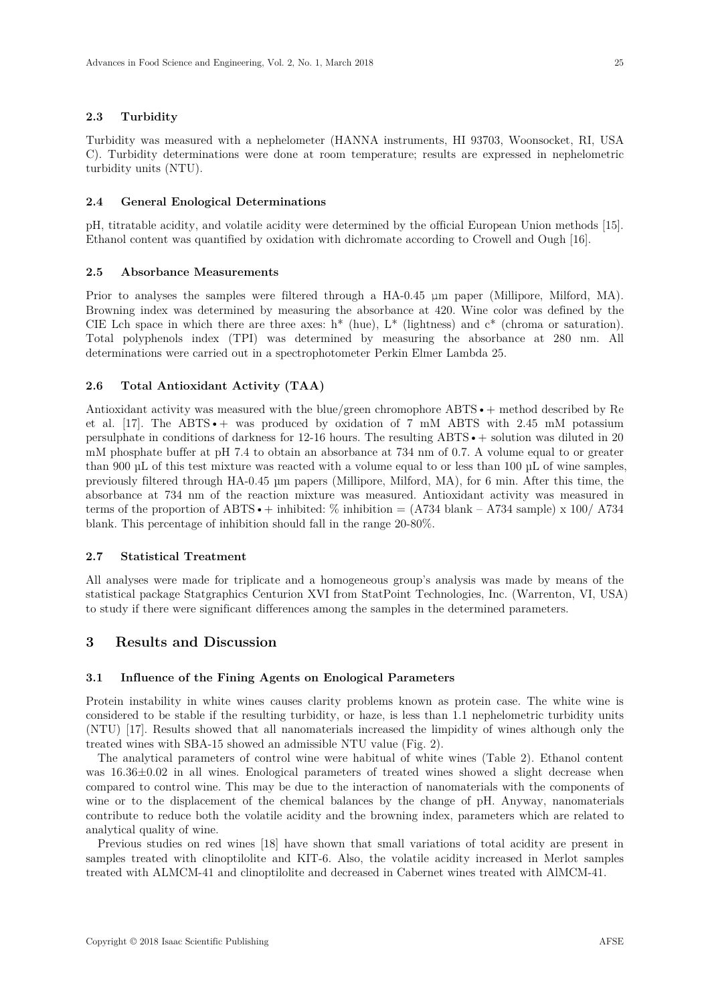### **2.3 Turbidity**

Turbidity was measured with a nephelometer (HANNA instruments, HI 93703, Woonsocket, RI, USA C). Turbidity determinations were done at room temperature; results are expressed in nephelometric turbidity units (NTU).

#### **2.4 General Enological Determinations**

pH, titratable acidity, and volatile acidity were determined by the official European Union methods [15]. Ethanol content was quantified by oxidation with dichromate according to Crowell and Ough [16].

#### **2.5 Absorbance Measurements**

Prior to analyses the samples were filtered through a HA-0.45 μm paper (Millipore, Milford, MA). Browning index was determined by measuring the absorbance at 420. Wine color was defined by the CIE Lch space in which there are three axes:  $h^*$  (hue),  $L^*$  (lightness) and  $c^*$  (chroma or saturation). Total polyphenols index (TPI) was determined by measuring the absorbance at 280 nm. All determinations were carried out in a spectrophotometer Perkin Elmer Lambda 25.

### **2.6 Total Antioxidant Activity (TAA)**

Antioxidant activity was measured with the blue/green chromophore ABTS • + method described by Re et al.  $[17]$ . The ABTS  $\cdot$  + was produced by oxidation of 7 mM ABTS with 2.45 mM potassium persulphate in conditions of darkness for  $12{\text -}16$  hours. The resulting ABTS  $\bullet$  + solution was diluted in 20 mM phosphate buffer at pH 7.4 to obtain an absorbance at 734 nm of 0.7. A volume equal to or greater than 900 µL of this test mixture was reacted with a volume equal to or less than 100 µL of wine samples, previously filtered through HA-0.45 µm papers (Millipore, Milford, MA), for 6 min. After this time, the absorbance at 734 nm of the reaction mixture was measured. Antioxidant activity was measured in terms of the proportion of ABTS  $\bullet$  + inhibited: % inhibition = (A734 blank – A734 sample) x 100/ A734 blank. This percentage of inhibition should fall in the range 20-80%.

# **2.7 Statistical Treatment**

All analyses were made for triplicate and a homogeneous group's analysis was made by means of the statistical package Statgraphics Centurion XVI from StatPoint Technologies, Inc. (Warrenton, VI, USA) to study if there were significant differences among the samples in the determined parameters.

## **3 Results and Discussion**

#### **3.1 Influence of the Fining Agents on Enological Parameters**

Protein instability in white wines causes clarity problems known as protein case. The white wine is considered to be stable if the resulting turbidity, or haze, is less than 1.1 nephelometric turbidity units (NTU) [17]. Results showed that all nanomaterials increased the limpidity of wines although only the treated wines with SBA-15 showed an admissible NTU value (Fig. 2).

The analytical parameters of control wine were habitual of white wines (Table 2). Ethanol content was 16.36±0.02 in all wines. Enological parameters of treated wines showed a slight decrease when compared to control wine. This may be due to the interaction of nanomaterials with the components of wine or to the displacement of the chemical balances by the change of pH. Anyway, nanomaterials contribute to reduce both the volatile acidity and the browning index, parameters which are related to analytical quality of wine.

Previous studies on red wines [18] have shown that small variations of total acidity are present in samples treated with clinoptilolite and KIT-6. Also, the volatile acidity increased in Merlot samples treated with ALMCM-41 and clinoptilolite and decreased in Cabernet wines treated with AlMCM-41.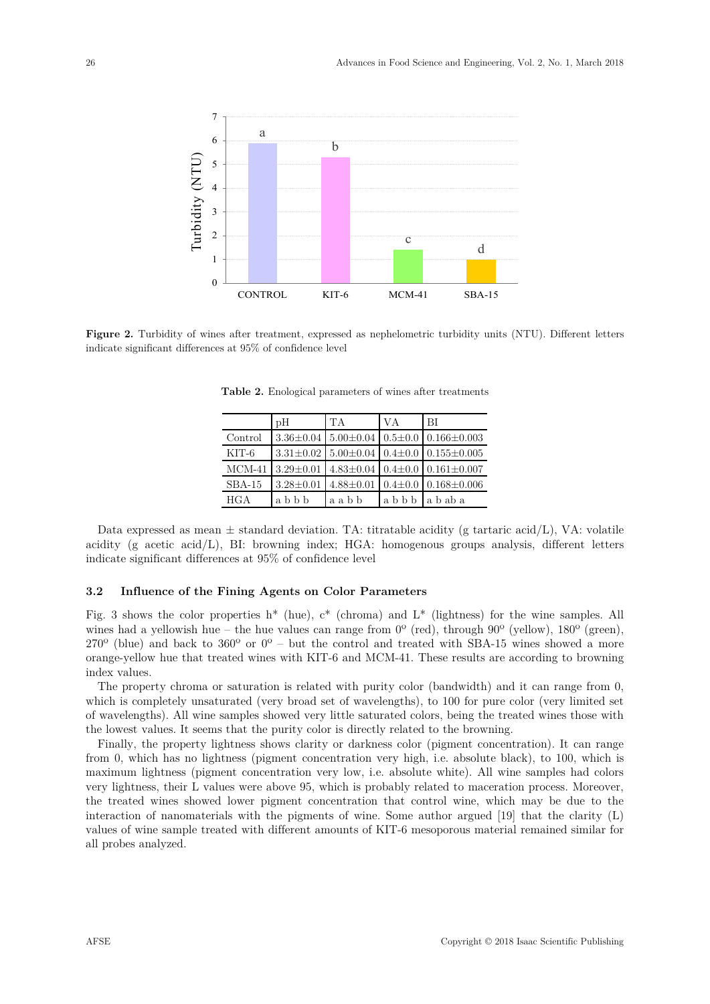

**Figure 2.** Turbidity of wines after treatment, expressed as nephelometric turbidity units (NTU). Different letters indicate significant differences at 95% of confidence level

|          | $\rm{pH}$       | <b>TA</b>                                 | VA            | -BI                                                           |
|----------|-----------------|-------------------------------------------|---------------|---------------------------------------------------------------|
| Control  |                 | $3.36\pm0.04$ 5.00 $\pm0.04$ 0.5 $\pm0.0$ |               | $0.166 \pm 0.003$                                             |
| KIT-6    |                 |                                           |               | $3.31\pm0.02$   $5.00\pm0.04$   $0.4\pm0.0$   $0.155\pm0.005$ |
| $MCM-41$ | $3.29 \pm 0.01$ |                                           |               | $4.83\pm0.04$ 0.4 $\pm$ 0.0 0.161 $\pm$ 0.007                 |
| $SBA-15$ | $3.28 \pm 0.01$ | $4.88 \pm 0.01$                           | $0.4 \pm 0.0$ | $0.168 \pm 0.006$                                             |
| HGA      | abbb            | aabb                                      | abbb          | ababa                                                         |

**Table 2.** Enological parameters of wines after treatments

Data expressed as mean  $\pm$  standard deviation. TA: titratable acidity (g tartaric acid/L), VA: volatile acidity (g acetic acid/L), BI: browning index; HGA: homogenous groups analysis, different letters indicate significant differences at 95% of confidence level

### **3.2 Influence of the Fining Agents on Color Parameters**

Fig. 3 shows the color properties  $h^*$  (hue),  $c^*$  (chroma) and  $L^*$  (lightness) for the wine samples. All wines had a yellowish hue – the hue values can range from  $0^{\circ}$  (red), through  $90^{\circ}$  (yellow),  $180^{\circ}$  (green),  $270^{\circ}$  (blue) and back to  $360^{\circ}$  or  $0^{\circ}$  – but the control and treated with SBA-15 wines showed a more orange-yellow hue that treated wines with KIT-6 and MCM-41. These results are according to browning index values.

The property chroma or saturation is related with purity color (bandwidth) and it can range from 0, which is completely unsaturated (very broad set of wavelengths), to 100 for pure color (very limited set of wavelengths). All wine samples showed very little saturated colors, being the treated wines those with the lowest values. It seems that the purity color is directly related to the browning.

Finally, the property lightness shows clarity or darkness color (pigment concentration). It can range from 0, which has no lightness (pigment concentration very high, i.e. absolute black), to 100, which is maximum lightness (pigment concentration very low, i.e. absolute white). All wine samples had colors very lightness, their L values were above 95, which is probably related to maceration process. Moreover, the treated wines showed lower pigment concentration that control wine, which may be due to the interaction of nanomaterials with the pigments of wine. Some author argued [19] that the clarity (L) values of wine sample treated with different amounts of KIT-6 mesoporous material remained similar for all probes analyzed.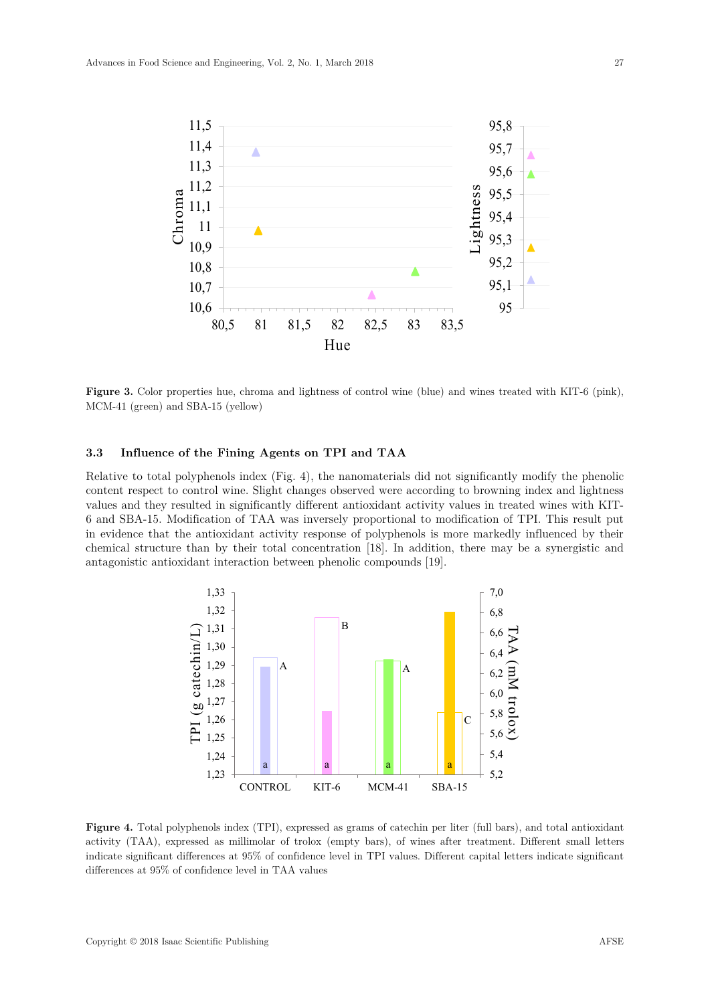

**Figure 3.** Color properties hue, chroma and lightness of control wine (blue) and wines treated with KIT-6 (pink), MCM-41 (green) and SBA-15 (yellow)

# **3.3 Influence of the Fining Agents on TPI and TAA**

Relative to total polyphenols index (Fig. 4), the nanomaterials did not significantly modify the phenolic content respect to control wine. Slight changes observed were according to browning index and lightness values and they resulted in significantly different antioxidant activity values in treated wines with KIT-6 and SBA-15. Modification of TAA was inversely proportional to modification of TPI. This result put in evidence that the antioxidant activity response of polyphenols is more markedly influenced by their chemical structure than by their total concentration [18]. In addition, there may be a synergistic and antagonistic antioxidant interaction between phenolic compounds [19].



**Figure 4.** Total polyphenols index (TPI), expressed as grams of catechin per liter (full bars), and total antioxidant activity (TAA), expressed as millimolar of trolox (empty bars), of wines after treatment. Different small letters indicate significant differences at 95% of confidence level in TPI values. Different capital letters indicate significant differences at 95% of confidence level in TAA values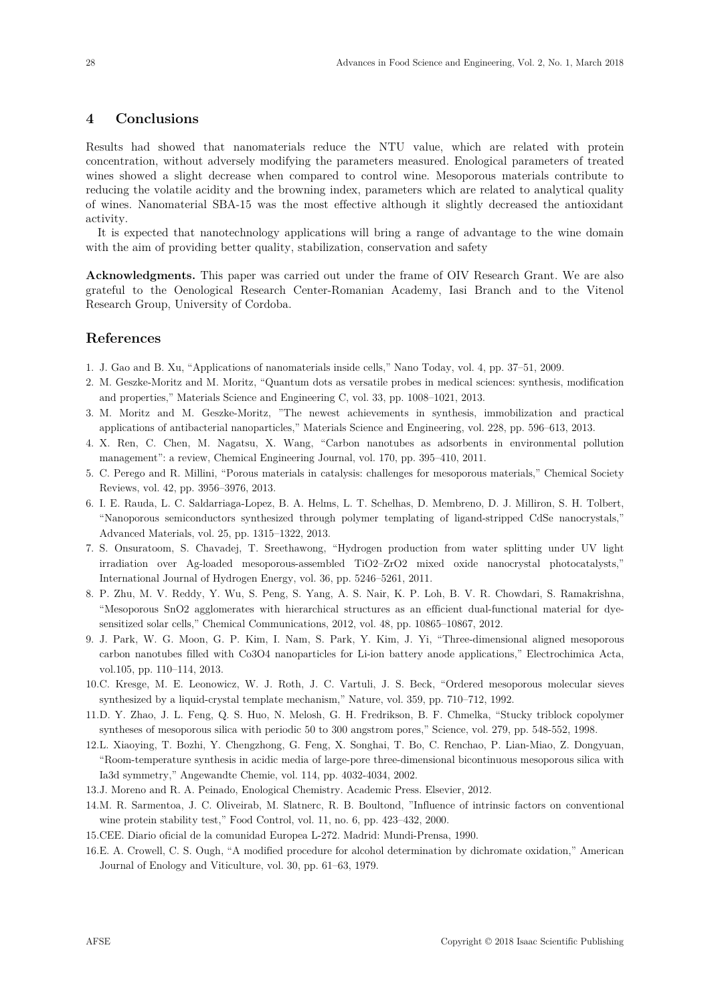# **4 Conclusions**

Results had showed that nanomaterials reduce the NTU value, which are related with protein concentration, without adversely modifying the parameters measured. Enological parameters of treated wines showed a slight decrease when compared to control wine. Mesoporous materials contribute to reducing the volatile acidity and the browning index, parameters which are related to analytical quality of wines. Nanomaterial SBA-15 was the most effective although it slightly decreased the antioxidant activity.

It is expected that nanotechnology applications will bring a range of advantage to the wine domain with the aim of providing better quality, stabilization, conservation and safety

**Acknowledgments.** This paper was carried out under the frame of OIV Research Grant. We are also grateful to the Oenological Research Center-Romanian Academy, Iasi Branch and to the Vitenol Research Group, University of Cordoba.

# **References**

- 1. J. Gao and B. Xu, "Applications of nanomaterials inside cells," Nano Today, vol. 4, pp. 37–51, 2009.
- 2. M. Geszke-Moritz and M. Moritz, "Quantum dots as versatile probes in medical sciences: synthesis, modification and properties," Materials Science and Engineering C, vol. 33, pp. 1008–1021, 2013.
- 3. M. Moritz and M. Geszke-Moritz, "The newest achievements in synthesis, immobilization and practical applications of antibacterial nanoparticles," Materials Science and Engineering, vol. 228, pp. 596–613, 2013.
- 4. X. Ren, C. Chen, M. Nagatsu, X. Wang, "Carbon nanotubes as adsorbents in environmental pollution management": a review, Chemical Engineering Journal, vol. 170, pp. 395–410, 2011.
- 5. C. Perego and R. Millini, "Porous materials in catalysis: challenges for mesoporous materials," Chemical Society Reviews, vol. 42, pp. 3956–3976, 2013.
- 6. I. E. Rauda, L. C. Saldarriaga-Lopez, B. A. Helms, L. T. Schelhas, D. Membreno, D. J. Milliron, S. H. Tolbert, "Nanoporous semiconductors synthesized through polymer templating of ligand-stripped CdSe nanocrystals," Advanced Materials, vol. 25, pp. 1315–1322, 2013.
- 7. S. Onsuratoom, S. Chavadej, T. Sreethawong, "Hydrogen production from water splitting under UV light irradiation over Ag-loaded mesoporous-assembled TiO2–ZrO2 mixed oxide nanocrystal photocatalysts," International Journal of Hydrogen Energy, vol. 36, pp. 5246–5261, 2011.
- 8. P. Zhu, M. V. Reddy, Y. Wu, S. Peng, S. Yang, A. S. Nair, K. P. Loh, B. V. R. Chowdari, S. Ramakrishna, "Mesoporous SnO2 agglomerates with hierarchical structures as an efficient dual-functional material for dyesensitized solar cells," Chemical Communications, 2012, vol. 48, pp. 10865–10867, 2012.
- 9. J. Park, W. G. Moon, G. P. Kim, I. Nam, S. Park, Y. Kim, J. Yi, "Three-dimensional aligned mesoporous carbon nanotubes filled with Co3O4 nanoparticles for Li-ion battery anode applications," Electrochimica Acta, vol.105, pp. 110–114, 2013.
- 10. C. Kresge, M. E. Leonowicz, W. J. Roth, J. C. Vartuli, J. S. Beck, "Ordered mesoporous molecular sieves synthesized by a liquid-crystal template mechanism," Nature, vol. 359, pp. 710–712, 1992.
- 11. D. Y. Zhao, J. L. Feng, Q. S. Huo, N. Melosh, G. H. Fredrikson, B. F. Chmelka, "Stucky triblock copolymer syntheses of mesoporous silica with periodic 50 to 300 angstrom pores," Science, vol. 279, pp. 548-552, 1998.
- 12. L. Xiaoying, T. Bozhi, Y. Chengzhong, G. Feng, X. Songhai, T. Bo, C. Renchao, P. Lian-Miao, Z. Dongyuan, "Room-temperature synthesis in acidic media of large-pore three-dimensional bicontinuous mesoporous silica with Ia3d symmetry," Angewandte Chemie, vol. 114, pp. 4032-4034, 2002.
- 13. J. Moreno and R. A. Peinado, Enological Chemistry. Academic Press. Elsevier, 2012.
- 14. M. R. Sarmentoa, J. C. Oliveirab, M. Slatnerc, R. B. Boultond, "Influence of intrinsic factors on conventional wine protein stability test," Food Control, vol. 11, no. 6, pp. 423–432, 2000.
- 15. CEE. Diario oficial de la comunidad Europea L-272. Madrid: Mundi-Prensa, 1990.
- 16. E. A. Crowell, C. S. Ough, "A modified procedure for alcohol determination by dichromate oxidation," American Journal of Enology and Viticulture, vol. 30, pp. 61–63, 1979.